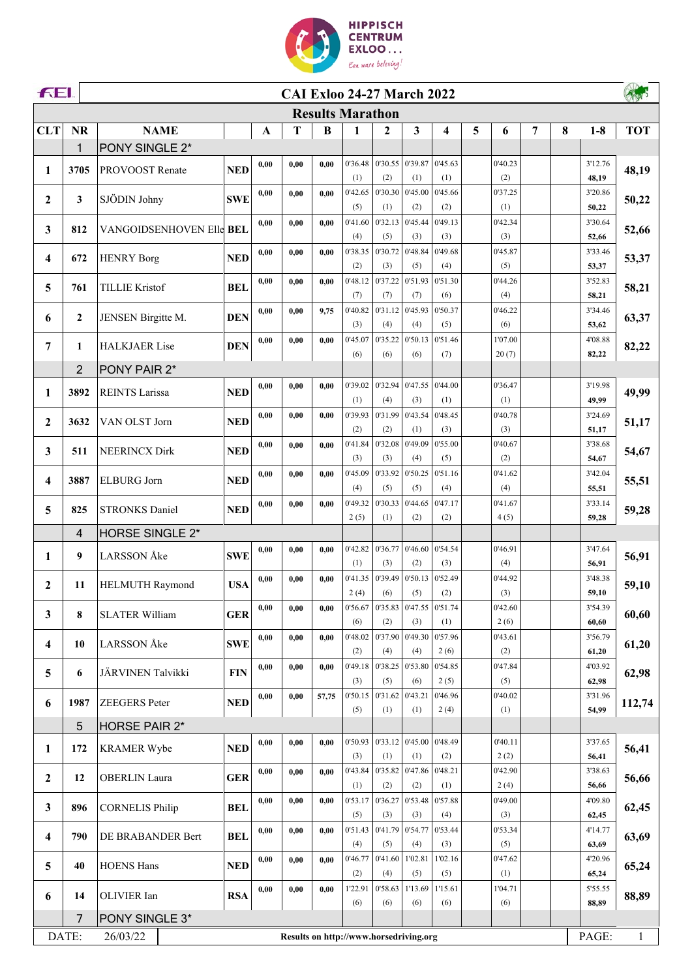

| <b>FEI.</b>    |                | <b>CAI Exloo 24-27 March 2022</b> |            |              |                                        |       |                         |                |                         |                                   |   |                |   |   |                  |              |
|----------------|----------------|-----------------------------------|------------|--------------|----------------------------------------|-------|-------------------------|----------------|-------------------------|-----------------------------------|---|----------------|---|---|------------------|--------------|
|                |                |                                   |            |              |                                        |       | <b>Results Marathon</b> |                |                         |                                   |   |                |   |   |                  |              |
| <b>CLT</b>     | <b>NR</b>      | <b>NAME</b>                       |            | $\mathbf{A}$ | T                                      | B     | 1                       | $\mathbf{2}$   | $\overline{\mathbf{3}}$ | $\overline{\mathbf{4}}$           | 5 | 6              | 7 | 8 | $1-8$            | <b>TOT</b>   |
|                | 1              | PONY SINGLE 2*                    |            |              |                                        |       |                         |                |                         |                                   |   |                |   |   |                  |              |
| 1              | 3705           | PROVOOST Renate                   | <b>NED</b> | 0,00         | 0.00                                   | 0,00  | 0'36.48                 |                | $0'30.55$ 0'39.87       | 0'45.63                           |   | 0'40.23        |   |   | 3'12.76          | 48,19        |
|                |                |                                   |            |              |                                        |       | (1)                     | (2)            | (1)                     | (1)                               |   | (2)            |   |   | 48,19            |              |
| $\overline{2}$ | 3              | SJÖDIN Johny                      | <b>SWE</b> | 0,00         | 0.00                                   | 0,00  | 0'42.65                 | 0'30.30        | 0'45.00                 | 0'45.66                           |   | 0'37.25        |   |   | 3'20.86          | 50,22        |
|                |                |                                   |            |              |                                        |       | (5)                     | (1)<br>0'32.13 | (2)<br>0'45.44          | (2)                               |   | (1)            |   |   | 50,22            |              |
| 3              | 812            | VANGOIDSENHOVEN Elle BEL          |            | 0,00         | 0.00                                   | 0,00  | 0'41.60<br>(4)          | (5)            | (3)                     | 0'49.13<br>(3)                    |   | 0'42.34<br>(3) |   |   | 3'30.64<br>52,66 | 52,66        |
|                |                |                                   |            | 0,00         | 0.00                                   | 0,00  | 0'38.35                 | 0'30.72        | 0'48.84                 | 0'49.68                           |   | 0'45.87        |   |   | 3'33.46          |              |
| 4              | 672            | <b>HENRY Borg</b>                 | <b>NED</b> |              |                                        |       | (2)                     | (3)            | (5)                     | (4)                               |   | (5)            |   |   | 53,37            | 53,37        |
|                |                |                                   |            | 0,00         | 0.00                                   | 0.00  | 0'48.12                 | 0'37.22        | 0'51.93                 | 0'51.30                           |   | 0'44.26        |   |   | 3'52.83          |              |
| 5              | 761            | <b>TILLIE Kristof</b>             | <b>BEL</b> |              |                                        |       | (7)                     | (7)            | (7)                     | (6)                               |   | (4)            |   |   | 58,21            | 58,21        |
| 6              | $\mathbf{2}$   | JENSEN Birgitte M.                | <b>DEN</b> | 0,00         | 0.00                                   | 9,75  | 0'40.82                 | 0'31.12        | 0'45.93                 | 0'50.37                           |   | 0'46.22        |   |   | 3'34.46          | 63,37        |
|                |                |                                   |            |              |                                        |       | (3)                     | (4)            | (4)                     | (5)                               |   | (6)            |   |   | 53,62            |              |
| 7              | 1              | <b>HALKJAER Lise</b>              | <b>DEN</b> | 0,00         | 0.00                                   | 0,00  | 0'45.07                 | 0'35.22        | 0'50.13                 | 0'51.46                           |   | 1'07.00        |   |   | 4'08.88          | 82,22        |
|                | $\overline{2}$ |                                   |            |              |                                        |       | (6)                     | (6)            | (6)                     | (7)                               |   | 20(7)          |   |   | 82,22            |              |
|                |                | PONY PAIR 2*                      |            | 0,00         | 0.00                                   | 0.00  | 0'39.02                 | 0'32.94        | 0'47.55                 | 0'44.00                           |   | 0'36.47        |   |   | 3'19.98          |              |
| 1              | 3892           | <b>REINTS Larissa</b>             | <b>NED</b> |              |                                        |       | (1)                     | (4)            | (3)                     | (1)                               |   | (1)            |   |   | 49,99            | 49,99        |
|                |                |                                   |            | 0,00         | 0.00                                   | 0.00  | 0'39.93                 | 0'31.99        | 0'43.54                 | 0'48.45                           |   | 0'40.78        |   |   | 3'24.69          |              |
| $\mathbf{2}$   | 3632           | VAN OLST Jorn                     | <b>NED</b> |              |                                        |       | (2)                     | (2)            | (1)                     | (3)                               |   | (3)            |   |   | 51,17            | 51,17        |
|                | 511            | <b>NEERINCX Dirk</b>              | <b>NED</b> | 0,00         | 0.00                                   | 0.00  | 0'41.84                 | 0'32.08        | 0'49.09                 | 0'55.00                           |   | 0'40.67        |   |   | 3'38.68          |              |
| 3              |                |                                   |            |              |                                        |       | (3)                     | (3)            | (4)                     | (5)                               |   | (2)            |   |   | 54,67            | 54,67        |
| 4              | 3887           | <b>ELBURG</b> Jorn                | <b>NED</b> | 0,00         | 0.00                                   | 0,00  | 0'45.09                 | 0'33.92        | 0'50.25                 | 0'51.16                           |   | 0'41.62        |   |   | 3'42.04          | 55,51        |
|                |                |                                   |            |              |                                        |       | (4)                     | (5)            | (5)                     | (4)                               |   | (4)            |   |   | 55,51            |              |
| 5              | 825            | <b>STRONKS Daniel</b>             | <b>NED</b> | 0,00         | 0.00                                   | 0.00  | 0'49.32                 | 0'30.33        | 0'44.65                 | 0'47.17                           |   | 0'41.67        |   |   | 3'33.14          | 59,28        |
|                | $\overline{4}$ | <b>HORSE SINGLE 2*</b>            |            |              |                                        |       | 2(5)                    | (1)            | (2)                     | (2)                               |   | 4(5)           |   |   | 59,28            |              |
|                |                |                                   |            | 0,00         | 0.00                                   | 0,00  | 0'42.82                 | 0'36.77        | 0'46.60                 | 0'54.54                           |   | 0'46.91        |   |   | 3'47.64          |              |
| 1              | 9              | <b>LARSSON</b> Åke                | <b>SWE</b> |              |                                        |       | (1)                     | (3)            | (2)                     | (3)                               |   | (4)            |   |   | 56,91            | 56,91        |
|                |                |                                   |            | 0,00         | 0.00                                   | 0,00  | 0'41.35                 | 0'39.49        | 0'50.13                 | 0'52.49                           |   | 0'44.92        |   |   | 3'48.38          |              |
| $\overline{2}$ | 11             | <b>HELMUTH Raymond</b>            | <b>USA</b> |              |                                        |       | 2(4)                    | (6)            | (5)                     | (2)                               |   | (3)            |   |   | 59,10            | 59,10        |
| 3              | 8              | <b>SLATER William</b>             | <b>GER</b> | 0,00         | 0,00                                   | 0.00  |                         |                |                         | $0'56.67$ 0'35.83 0'47.55 0'51.74 |   | 0'42.60        |   |   | 3'54.39          | 60,60        |
|                |                |                                   |            |              |                                        |       | (6)                     | (2)            | (3)                     | (1)                               |   | 2(6)           |   |   | 60,60            |              |
| 4              | 10             | <b>LARSSON</b> Åke                | <b>SWE</b> | 0,00         | 0.00                                   | 0,00  | 0'48.02                 | 0'37.90        | 0'49.30                 | 0'57.96                           |   | 0'43.61        |   |   | 3'56.79          | 61,20        |
|                |                |                                   |            |              |                                        |       | (2)                     | (4)            | (4)                     | 2(6)                              |   | (2)            |   |   | 61,20            |              |
| 5              | 6              | JÄRVINEN Talvikki                 | <b>FIN</b> | 0,00         | 0.00                                   | 0,00  | 0'49.18<br>(3)          | 0'38.25<br>(5) | 0'53.80<br>(6)          | 0'54.85<br>2(5)                   |   | 0'47.84<br>(5) |   |   | 4'03.92<br>62,98 | 62,98        |
|                |                |                                   |            | 0,00         | 0.00                                   | 57,75 | 0'50.15                 | 0'31.62        | 0'43.21                 | 0'46.96                           |   | 0'40.02        |   |   | 3'31.96          |              |
| 6              | 1987           | <b>ZEEGERS</b> Peter              | <b>NED</b> |              |                                        |       | (5)                     | (1)            | (1)                     | 2(4)                              |   | (1)            |   |   | 54,99            | 112,74       |
|                | 5              | <b>HORSE PAIR 2*</b>              |            |              |                                        |       |                         |                |                         |                                   |   |                |   |   |                  |              |
|                |                |                                   |            | 0,00         | 0.00                                   | 0,00  | 0'50.93                 |                | $0'33.12$ 0'45.00       | 0'48.49                           |   | 0'40.11        |   |   | 3'37.65          |              |
| 1              | 172            | <b>KRAMER Wybe</b>                | <b>NED</b> |              |                                        |       | (3)                     | (1)            | (1)                     | (2)                               |   | 2(2)           |   |   | 56,41            | 56,41        |
| $\mathbf{2}$   | 12             | <b>OBERLIN</b> Laura              | <b>GER</b> | 0,00         | 0.00                                   | 0,00  | 0'43.84                 |                | $0'35.82$ 0'47.86       | 0'48.21                           |   | 0'42.90        |   |   | 3'38.63          | 56,66        |
|                |                |                                   |            |              |                                        |       | (1)                     | (2)            | (2)                     | (1)                               |   | 2(4)           |   |   | 56,66            |              |
| 3              | 896            | <b>CORNELIS Philip</b>            | <b>BEL</b> | 0,00         | 0.00                                   | 0,00  | 0'53.17                 | 0'36.27        | 0'53.48                 | 0'57.88                           |   | 0'49.00        |   |   | 4'09.80          | 62,45        |
|                |                |                                   |            |              |                                        |       | (5)                     | (3)            | (3)                     | (4)                               |   | (3)            |   |   | 62,45            |              |
| 4              | 790            | DE BRABANDER Bert                 | <b>BEL</b> | 0,00         | 0.00                                   | 0,00  | 0'51.43<br>(4)          | 0'41.79<br>(5) | 0'54.77<br>(4)          | 0'53.44<br>(3)                    |   | 0'53.34<br>(5) |   |   | 4'14.77<br>63,69 | 63,69        |
|                |                |                                   |            | 0,00         | 0.00                                   | 0.00  | 0'46.77                 | 0'41.60        | 1'02.81                 | 1'02.16                           |   | 0'47.62        |   |   | 4'20.96          |              |
| 5              | 40             | <b>HOENS Hans</b>                 | <b>NED</b> |              |                                        |       | (2)                     | (4)            | (5)                     | (5)                               |   | (1)            |   |   | 65,24            | 65,24        |
|                |                |                                   |            | 0,00         | 0,00                                   | 0,00  | 1'22.91                 | 0'58.63        | 1'13.69                 | 1'15.61                           |   | 1'04.71        |   |   | 5'55.55          |              |
| 6              | 14             | OLIVIER Ian                       | <b>RSA</b> |              |                                        |       | (6)                     | (6)            | (6)                     | (6)                               |   | (6)            |   |   | 88,89            | 88,89        |
|                | $\overline{7}$ | PONY SINGLE 3*                    |            |              |                                        |       |                         |                |                         |                                   |   |                |   |   |                  |              |
|                | DATE:          | 26/03/22                          |            |              | Results on http://www.horsedriving.org |       |                         |                |                         |                                   |   |                |   |   | PAGE:            | $\mathbf{1}$ |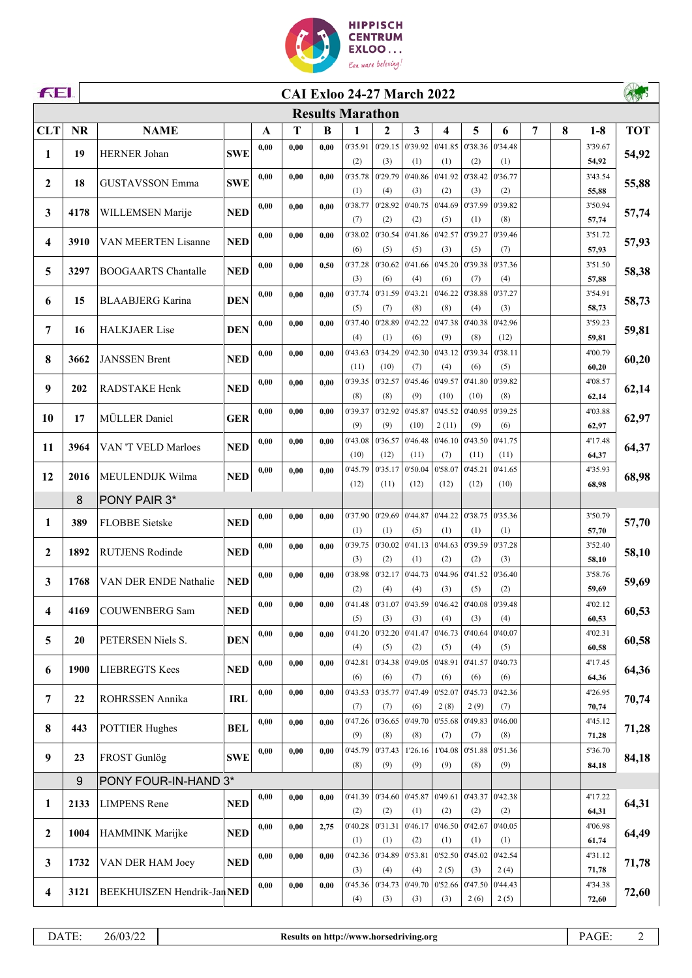

| <b>FEI.</b>  |           | <b>CAI Exloo 24-27 March 2022</b> |            |      |      |      |                         |                |                                                 |                         |                |                 |   |   |                  |            |
|--------------|-----------|-----------------------------------|------------|------|------|------|-------------------------|----------------|-------------------------------------------------|-------------------------|----------------|-----------------|---|---|------------------|------------|
|              |           |                                   |            |      |      |      | <b>Results Marathon</b> |                |                                                 |                         |                |                 |   |   |                  |            |
| <b>CLT</b>   | <b>NR</b> | <b>NAME</b>                       |            | A    | T    | B    | 1                       | 2              | 3                                               | $\overline{\mathbf{4}}$ | 5              | 6               | 7 | 8 | $1-8$            | <b>TOT</b> |
| 1            | 19        | HERNER Johan                      | <b>SWE</b> | 0.00 | 0,00 | 0.00 | 0'35.91                 | 0'29.15        | 0'39.92                                         | 0'41.85                 | 0'38.36        | 0'34.48         |   |   | 3'39.67          | 54,92      |
|              |           |                                   |            |      |      |      | (2)                     | (3)            | (1)                                             | (1)                     | (2)            | (1)             |   |   | 54,92            |            |
| 2            | 18        | <b>GUSTAVSSON Emma</b>            | <b>SWE</b> | 0,00 | 0,00 | 0.00 | 0'35.78                 | 0'29.79        | 0'40.86                                         | 0'41.92                 | 0'38.42        | 0'36.77         |   |   | 3'43.54          | 55,88      |
|              |           |                                   |            | 0,00 | 0,00 | 0.00 | (1)<br>0'38.77          | (4)<br>0'28.92 | (3)<br>0'40.75                                  | (2)<br>0'44.69          | (3)<br>0'37.99 | (2)<br>0'39.82  |   |   | 55,88<br>3'50.94 |            |
| 3            | 4178      | WILLEMSEN Marije                  | <b>NED</b> |      |      |      | (7)                     | (2)            | (2)                                             | (5)                     | (1)            | (8)             |   |   | 57,74            | 57,74      |
|              |           |                                   |            | 0,00 | 0,00 | 0.00 | 0'38.02                 | 0'30.54        | 0'41.86                                         | 0'42.57                 | 0'39.27        | 0'39.46         |   |   | 3'51.72          |            |
| 4            | 3910      | VAN MEERTEN Lisanne               | <b>NED</b> |      |      |      | (6)                     | (5)            | (5)                                             | (3)                     | (5)            | (7)             |   |   | 57,93            | 57,93      |
| 5            | 3297      | <b>BOOGAARTS Chantalle</b>        | <b>NED</b> | 0,00 | 0,00 | 0,50 | 0'37.28                 | 0'30.62        | 0'41.66                                         | 0'45.20                 | 0'39.38        | 0'37.36         |   |   | 3'51.50          | 58,38      |
|              |           |                                   |            |      |      |      | (3)                     | (6)            | (4)                                             | (6)                     | (7)            | (4)             |   |   | 57,88            |            |
| 6            | 15        | <b>BLAABJERG</b> Karina           | <b>DEN</b> | 0,00 | 0,00 | 0.00 | 0'37.74<br>(5)          | 0'31.59<br>(7) | 0'43.21<br>(8)                                  | 0'46.22<br>(8)          | 0'38.88<br>(4) | 0'37.27<br>(3)  |   |   | 3'54.91<br>58,73 | 58,73      |
|              |           |                                   |            | 0,00 | 0,00 | 0.00 | 0'37.40                 | 0'28.89        | 0'42.22                                         | 0'47.38                 | 0'40.38        | 0'42.96         |   |   | 3'59.23          |            |
| 7            | 16        | <b>HALKJAER Lise</b>              | <b>DEN</b> |      |      |      | (4)                     | (1)            | (6)                                             | (9)                     | (8)            | (12)            |   |   | 59,81            | 59,81      |
| 8            | 3662      | <b>JANSSEN Brent</b>              | <b>NED</b> | 0,00 | 0,00 | 0.00 | 0'43.63                 | 0'34.29        | 0'42.30                                         | 0'43.12                 | 0'39.34        | 0'38.11         |   |   | 4'00.79          | 60,20      |
|              |           |                                   |            |      |      |      | (11)                    | (10)           | (7)                                             | (4)                     | (6)            | (5)             |   |   | 60,20            |            |
| 9            | 202       | <b>RADSTAKE Henk</b>              | <b>NED</b> | 0,00 | 0,00 | 0.00 | 0'39.35                 | 0'32.57        | 0'45.46                                         | 0'49.57                 | 0'41.80        | 0'39.82         |   |   | 4'08.57          | 62,14      |
|              |           |                                   |            |      |      |      | (8)                     | (8)            | (9)                                             | (10)                    | (10)           | (8)             |   |   | 62,14            |            |
| 10           | 17        | MÜLLER Daniel                     | <b>GER</b> | 0,00 | 0,00 | 0.00 | 0'39.37<br>(9)          | 0'32.92<br>(9) | 0'45.87<br>(10)                                 | 0'45.52<br>2(11)        | 0'40.95<br>(9) | 0'39.25<br>(6)  |   |   | 4'03.88<br>62,97 | 62,97      |
|              |           |                                   |            | 0,00 | 0,00 | 0.00 | 0'43.08                 | 0'36.57        | 0'46.48                                         | 0'46.10                 | 0'43.50        | 0'41.75         |   |   | 4'17.48          |            |
| 11           | 3964      | VAN 'T VELD Marloes               | <b>NED</b> |      |      |      | (10)                    | (12)           | (11)                                            | (7)                     | (11)           | (11)            |   |   | 64,37            | 64,37      |
| 12           | 2016      | MEULENDIJK Wilma                  | <b>NED</b> | 0,00 | 0.00 | 0.00 | 0'45.79                 | 0'35.17        | 0'50.04                                         | 0'58.07                 | 0'45.21        | 0'41.65         |   |   | 4'35.93          | 68,98      |
|              |           |                                   |            |      |      |      | (12)                    | (11)           | (12)                                            | (12)                    | (12)           | (10)            |   |   | 68,98            |            |
|              | 8         | PONY PAIR 3*                      |            |      |      |      |                         |                |                                                 |                         |                |                 |   |   |                  |            |
| 1            | 389       | <b>FLOBBE</b> Sietske             | <b>NED</b> | 0,00 | 0,00 | 0.00 | 0'37.90<br>(1)          | 0'29.69<br>(1) | 0'44.87<br>(5)                                  | 0'44.22<br>(1)          | 0'38.75<br>(1) | 0'35.36<br>(1)  |   |   | 3'50.79<br>57,70 | 57,70      |
|              |           |                                   |            | 0,00 | 0,00 | 0.00 | 0'39.75                 | 0'30.02        | 0'41.13                                         | 0'44.63                 | 0'39.59        | 0'37.28         |   |   | 3'52.40          |            |
| $\mathbf{2}$ | 1892      | <b>RUTJENS Rodinde</b>            | <b>NED</b> |      |      |      | (3)                     | (2)            | (1)                                             | (2)                     | (2)            | (3)             |   |   | 58,10            | 58,10      |
| 3            | 1768      | VAN DER ENDE Nathalie             | <b>NED</b> | 0,00 | 0,00 | 0.00 | 0'38.98                 | 0'32.17        | 0'44.73                                         | 0'44.96                 | 0'41.52        | 0'36.40         |   |   | 3'58.76          | 59,69      |
|              |           |                                   |            |      |      |      | (2)                     | (4)            | (4)                                             | (3)                     | (5)            | (2)             |   |   | 59,69            |            |
| 4            | 4169      | <b>COUWENBERG</b> Sam             | <b>NED</b> | 0,00 | 0,00 | 0,00 |                         |                | 0'41.48 0'31.07 0'43.59 0'46.42 0'40.08 0'39.48 |                         |                |                 |   |   | 4'02.12          | 60,53      |
|              |           |                                   |            |      |      |      | (5)<br>0'41.20          | (3)            | (3)<br>0'41.47                                  | (4)<br>0'46.73          | (3)<br>0'40.64 | (4)<br>0'40.07  |   |   | 60,53            |            |
| 5            | 20        | PETERSEN Niels S.                 | <b>DEN</b> | 0,00 | 0,00 | 0,00 | (4)                     | 0'32.20<br>(5) | (2)                                             | (5)                     | (4)            | (5)             |   |   | 4'02.31<br>60,58 | 60,58      |
|              |           |                                   |            | 0,00 | 0,00 | 0.00 | 0'42.81                 | 0'34.38        | 0'49.05                                         | 0'48.91                 | 0'41.57        | 0'40.73         |   |   | 4'17.45          |            |
| 6            | 1900      | <b>LIEBREGTS Kees</b>             | <b>NED</b> |      |      |      | (6)                     | (6)            | (7)                                             | (6)                     | (6)            | (6)             |   |   | 64,36            | 64,36      |
| 7            | 22        | ROHRSSEN Annika                   | <b>IRL</b> | 0,00 | 0,00 | 0,00 | 0'43.53                 | 0'35.77        | 0'47.49                                         | 0'52.07                 | 0'45.73        | 0'42.36         |   |   | 4'26.95          | 70,74      |
|              |           |                                   |            |      |      |      | (7)                     | (7)            | (6)                                             | 2(8)                    | 2(9)           | (7)             |   |   | 70,74            |            |
| 8            | 443       | <b>POTTIER Hughes</b>             | <b>BEL</b> | 0,00 | 0,00 | 0.00 | 0'47.26<br>(9)          | 0'36.65<br>(8) | 0'49.70<br>(8)                                  | 0'55.68<br>(7)          | 0'49.83<br>(7) | 0'46.00<br>(8)  |   |   | 4'45.12<br>71,28 | 71,28      |
|              |           |                                   |            | 0,00 | 0,00 | 0,00 | 0'45.79                 | 0'37.43        | 1'26.16                                         | 1'04.08                 | 0'51.88        | 0'51.36         |   |   | 5'36.70          |            |
| 9            | 23        | <b>FROST Gunlög</b>               | <b>SWE</b> |      |      |      | (8)                     | (9)            | (9)                                             | (9)                     | (8)            | (9)             |   |   | 84,18            | 84,18      |
|              | 9         | PONY FOUR-IN-HAND 3*              |            |      |      |      |                         |                |                                                 |                         |                |                 |   |   |                  |            |
| 1            | 2133      | <b>LIMPENS</b> Rene               | <b>NED</b> | 0,00 | 0.00 | 0.00 | 0'41.39                 | 0'34.60        | 0'45.87                                         | 0'49.61                 |                | 0'43.37 0'42.38 |   |   | 4'17.22          | 64,31      |
|              |           |                                   |            |      |      |      | (2)                     | (2)            | (1)                                             | (2)                     | (2)            | (2)             |   |   | 64,31            |            |
| $\mathbf{2}$ | 1004      | HAMMINK Marijke                   | <b>NED</b> | 0,00 | 0,00 | 2,75 | 0'40.28                 | 0'31.31        |                                                 | 0'46.17 0'46.50         | 0'42.67        | 0'40.05         |   |   | 4'06.98          | 64,49      |
|              |           |                                   |            |      |      |      | (1)                     | (1)            | (2)<br>0'53.81                                  | (1)<br>0'52.50          | (1)<br>0'45.02 | (1)<br>0'42.54  |   |   | 61,74            |            |
| 3            | 1732      | VAN DER HAM Joey                  | <b>NED</b> | 0,00 | 0,00 | 0,00 | 0'42.36<br>(3)          | 0'34.89<br>(4) | (4)                                             | 2(5)                    | (3)            | 2(4)            |   |   | 4'31.12<br>71,78 | 71,78      |
|              |           |                                   |            | 0,00 | 0,00 | 0.00 | 0'45.36                 | 0'34.73        | 0'49.70                                         | 0'52.66                 | 0'47.50        | 0'44.43         |   |   | 4'34.38          |            |
| 4            | 3121      | BEEKHUISZEN Hendrik-Jan NED       |            |      |      |      | (4)                     | (3)            | (3)                                             | (3)                     | 2(6)           | 2(5)            |   |   | 72,60            | 72,60      |
|              |           |                                   |            |      |      |      |                         |                |                                                 |                         |                |                 |   |   |                  |            |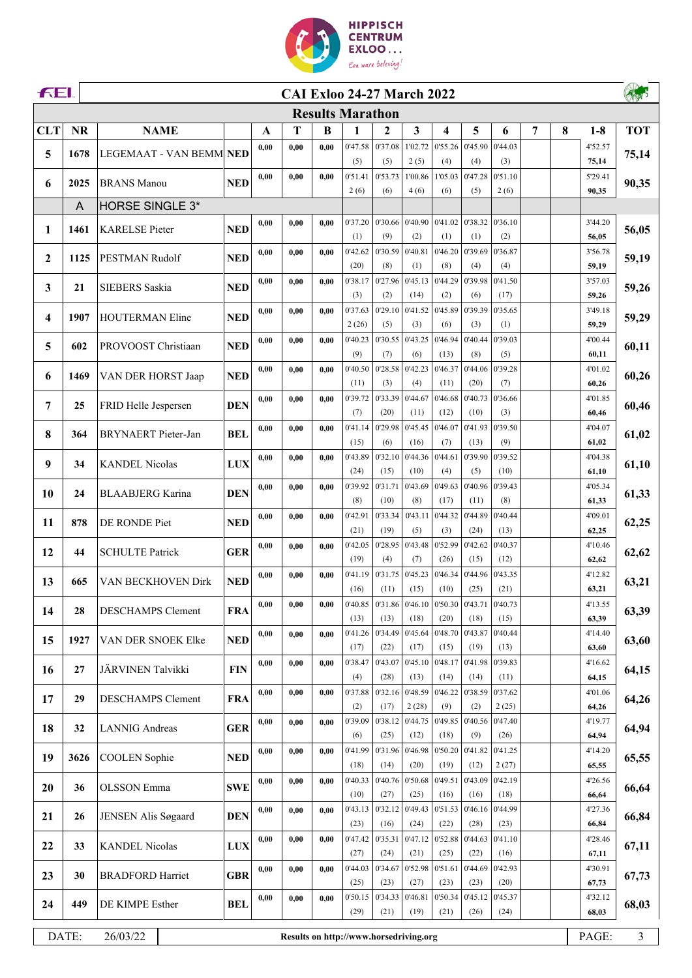

| <b>FEI</b><br><b>CAI Exloo 24-27 March 2022</b> |           |                          |                         |      |                                        |      |                  |                 |                                               |                 |                 |                 |   |   |                  |                |
|-------------------------------------------------|-----------|--------------------------|-------------------------|------|----------------------------------------|------|------------------|-----------------|-----------------------------------------------|-----------------|-----------------|-----------------|---|---|------------------|----------------|
|                                                 |           |                          | <b>Results Marathon</b> |      |                                        |      |                  |                 |                                               |                 |                 |                 |   |   |                  |                |
| <b>CLT</b>                                      | <b>NR</b> | <b>NAME</b>              |                         | A    | T                                      | B    | 1                | 2               | 3                                             | 4               | 5               | 6               | 7 | 8 | $1-8$            | <b>TOT</b>     |
| 5                                               | 1678      | LEGEMAAT - VAN BEMM NED  |                         | 0,00 | 0,00                                   | 0.00 | 0'47.58          | 0'37.08         | 1'02.72                                       | 0'55.26         | 0'45.90         | 0'44.03         |   |   | 4'52.57          | 75,14          |
|                                                 |           |                          |                         |      |                                        |      | (5)              | (5)             | 2(5)                                          | (4)             | (4)             | (3)             |   |   | 75,14            |                |
| 6                                               | 2025      | <b>BRANS</b> Manou       | <b>NED</b>              | 0,00 | 0,00                                   | 0,00 | 0'51.41          | 0'53.73         | 1'00.86                                       | 1'05.03         | 0'47.28         | 0'51.10         |   |   | 5'29.41          | 90,35          |
|                                                 |           |                          |                         |      |                                        |      | 2(6)             | (6)             | 4(6)                                          | (6)             | (5)             | 2(6)            |   |   | 90,35            |                |
|                                                 | A         | HORSE SINGLE 3*          |                         | 0,00 | 0,00                                   | 0,00 | 0'37.20          | 0'30.66         | 0'40.90                                       | 0'41.02         | 0'38.32         | 0'36.10         |   |   | 3'44.20          |                |
| 1                                               | 1461      | <b>KARELSE</b> Pieter    | <b>NED</b>              |      |                                        |      | (1)              | (9)             | (2)                                           | (1)             | (1)             | (2)             |   |   | 56,05            | 56,05          |
|                                                 |           |                          |                         | 0,00 | 0,00                                   | 0,00 | 0'42.62          | 0'30.59         | 0'40.81                                       | 0'46.20         | 0'39.69         | 0'36.87         |   |   | 3'56.78          |                |
| $\mathbf{2}$                                    | 1125      | PESTMAN Rudolf           | <b>NED</b>              |      |                                        |      | (20)             | (8)             | (1)                                           | (8)             | (4)             | (4)             |   |   | 59,19            | 59,19          |
| 3                                               | 21        | SIEBERS Saskia           | <b>NED</b>              | 0,00 | 0,00                                   | 0.00 | 0'38.17          | 0'27.96         | 0'45.13                                       | 0'44.29         | 0'39.98         | 0'41.50         |   |   | 3'57.03          | 59,26          |
|                                                 |           |                          |                         |      |                                        |      | (3)              | (2)             | (14)                                          | (2)             | (6)             | (17)            |   |   | 59,26            |                |
| 4                                               | 1907      | HOUTERMAN Eline          | <b>NED</b>              | 0,00 | 0.00                                   | 0.00 | 0'37.63<br>2(26) | 0'29.10<br>(5)  | 0'41.52<br>(3)                                | 0'45.89<br>(6)  | 0'39.39<br>(3)  | 0'35.65<br>(1)  |   |   | 3'49.18<br>59,29 | 59,29          |
|                                                 |           |                          |                         | 0,00 | 0.00                                   | 0.00 | 0'40.23          | 0'30.55         | 0'43.25                                       | 0'46.94         | 0'40.44         | 0'39.03         |   |   | 4'00.44          |                |
| 5                                               | 602       | PROVOOST Christiaan      | <b>NED</b>              |      |                                        |      | (9)              | (7)             | (6)                                           | (13)            | (8)             | (5)             |   |   | 60,11            | 60,11          |
| 6                                               | 1469      | VAN DER HORST Jaap       | <b>NED</b>              | 0,00 | 0,00                                   | 0.00 | 0'40.50          | 0'28.58         | 0'42.23                                       | 0'46.37         | 0'44.06         | 0'39.28         |   |   | 4'01.02          | 60,26          |
|                                                 |           |                          |                         |      |                                        |      | (11)             | (3)             | (4)                                           | (11)            | (20)            | (7)             |   |   | 60,26            |                |
| 7                                               | 25        | FRID Helle Jespersen     | <b>DEN</b>              | 0,00 | 0,00                                   | 0.00 | 0'39.72          | 0'33.39         | 0'44.67                                       | 0'46.68         | 0'40.73         | 0'36.66         |   |   | 4'01.85          | 60,46          |
|                                                 |           |                          |                         | 0,00 | 0,00                                   | 0.00 | (7)<br>0'41.14   | (20)<br>0'29.98 | (11)<br>0'45.45                               | (12)<br>0'46.07 | (10)<br>0'41.93 | (3)<br>0'39.50  |   |   | 60,46<br>4'04.07 |                |
| 8                                               | 364       | BRYNAERT Pieter-Jan      | <b>BEL</b>              |      |                                        |      | (15)             | (6)             | (16)                                          | (7)             | (13)            | (9)             |   |   | 61,02            | 61,02          |
|                                                 |           |                          |                         | 0,00 | 0,00                                   | 0.00 | 0'43.89          | 0'32.10         | 0'44.36                                       | 0'44.61         | 0'39.90         | 0'39.52         |   |   | 4'04.38          |                |
| 9                                               | 34        | <b>KANDEL Nicolas</b>    | <b>LUX</b>              |      |                                        |      | (24)             | (15)            | (10)                                          | (4)             | (5)             | (10)            |   |   | 61,10            | 61,10          |
| 10                                              | 24        | <b>BLAABJERG</b> Karina  | <b>DEN</b>              | 0,00 | 0,00                                   | 0,00 | 0'39.92          | 0'31.71         | 0'43.69                                       | 0'49.63         | 0'40.96         | 0'39.43         |   |   | 4'05.34          | 61,33          |
|                                                 |           |                          |                         |      |                                        |      | (8)              | (10)            | (8)                                           | (17)            | (11)            | (8)             |   |   | 61,33            |                |
| 11                                              | 878       | DE RONDE Piet            | <b>NED</b>              | 0,00 | 0,00                                   | 0.00 | 0'42.91<br>(21)  | 0'33.34<br>(19) | 0'43.11<br>(5)                                | 0'44.32<br>(3)  | 0'44.89<br>(24) | 0'40.44<br>(13) |   |   | 4'09.01<br>62,25 | 62,25          |
|                                                 |           |                          |                         | 0,00 | 0,00                                   | 0,00 | 0'42.05          | 0'28.95         | 0'43.48                                       | 0'52.99         | 0'42.62         | 0'40.37         |   |   | 4'10.46          |                |
| 12                                              | 44        | <b>SCHULTE Patrick</b>   | <b>GER</b>              |      |                                        |      | (19)             | (4)             | (7)                                           | (26)            | (15)            | (12)            |   |   | 62,62            | 62,62          |
|                                                 | 665       | VAN BECKHOVEN Dirk       | <b>NED</b>              | 0,00 | 0,00                                   | 0.00 | 0'41.19          | 0'31.75         | 0'45.23                                       | 0'46.34         | 0'44.96         | 0'43.35         |   |   | 4'12.82          | 63,21          |
| 13                                              |           |                          |                         |      |                                        |      | (16)             | (11)            | (15)                                          | (10)            | (25)            | (21)            |   |   | 63,21            |                |
| 14                                              | 28        | <b>DESCHAMPS</b> Clement | <b>FRA</b>              | 0,00 | 0,00                                   | 0,00 |                  |                 | $0'40.85$   $0'31.86$   $0'46.10$   $0'50.30$ |                 | 0'43.71 0'40.73 |                 |   |   | 4'13.55          | 63,39          |
|                                                 |           |                          |                         |      |                                        |      | (13)<br>0'41.26  | (13)<br>0'34.49 | (18)<br>0'45.64                               | (20)<br>0'48.70 | (18)<br>0'43.87 | (15)<br>0'40.44 |   |   | 63,39<br>4'14.40 |                |
| 15                                              | 1927      | VAN DER SNOEK Elke       | <b>NED</b>              | 0,00 | 0,00                                   | 0.00 | (17)             | (22)            | (17)                                          | (15)            | (19)            | (13)            |   |   | 63,60            | 63,60          |
|                                                 |           |                          |                         | 0,00 | 0,00                                   | 0,00 | 0'38.47          | 0'43.07         | 0'45.10                                       | 0'48.17         | 0'41.98         | 0'39.83         |   |   | 4'16.62          |                |
| 16                                              | 27        | JÄRVINEN Talvikki        | <b>FIN</b>              |      |                                        |      | (4)              | (28)            | (13)                                          | (14)            | (14)            | (11)            |   |   | 64,15            | 64,15          |
| 17                                              | 29        | DESCHAMPS Clement        | <b>FRA</b>              | 0,00 | 0,00                                   | 0,00 | 0'37.88          | 0'32.16         | 0'48.59                                       | 0'46.22         | 0'38.59         | 0'37.62         |   |   | 4'01.06          | 64,26          |
|                                                 |           |                          |                         |      |                                        |      | (2)              | (17)            | 2(28)                                         | (9)             | (2)             | 2(25)           |   |   | 64,26            |                |
| 18                                              | 32        | <b>LANNIG</b> Andreas    | <b>GER</b>              | 0,00 | 0,00                                   | 0,00 | 0'39.09<br>(6)   | 0'38.12<br>(25) | 0'44.75<br>(12)                               | 0'49.85<br>(18) | 0'40.56<br>(9)  | 0'47.40<br>(26) |   |   | 4'19.77<br>64,94 | 64,94          |
|                                                 |           |                          |                         | 0,00 | 0,00                                   | 0.00 | 0'41.99          | 0'31.96         | 0'46.98                                       | 0'50.20         | 0'41.82         | 0'41.25         |   |   | 4'14.20          |                |
| 19                                              | 3626      | <b>COOLEN</b> Sophie     | <b>NED</b>              |      |                                        |      | (18)             | (14)            | (20)                                          | (19)            | (12)            | 2(27)           |   |   | 65,55            | 65,55          |
| 20                                              | 36        | <b>OLSSON</b> Emma       | <b>SWE</b>              | 0,00 | 0,00                                   | 0.00 | 0'40.33          | 0'40.76         | 0'50.68                                       | 0'49.51         | 0'43.09         | 0'42.19         |   |   | 4'26.56          | 66,64          |
|                                                 |           |                          |                         |      |                                        |      | (10)             | (27)            | (25)                                          | (16)            | (16)            | (18)            |   |   | 66,64            |                |
| 21                                              | 26        | JENSEN Alis Søgaard      | <b>DEN</b>              | 0,00 | 0,00                                   | 0.00 | 0'43.13          | 0'32.12         | 0'49.43                                       | 0'51.53         | 0'46.16         | 0'44.99         |   |   | 4'27.36          | 66,84          |
|                                                 |           |                          |                         | 0,00 | 0,00                                   | 0,00 | (23)<br>0'47.42  | (16)<br>0'35.31 | (24)<br>0'47.12                               | (22)<br>0'52.88 | (28)<br>0'44.63 | (23)<br>0'41.10 |   |   | 66,84<br>4'28.46 |                |
| 22                                              | 33        | <b>KANDEL Nicolas</b>    | <b>LUX</b>              |      |                                        |      | (27)             | (24)            | (21)                                          | (25)            | (22)            | (16)            |   |   | 67,11            | 67,11          |
|                                                 |           |                          |                         | 0,00 | 0,00                                   | 0,00 | 0'44.03          | 0'34.67         | 0'52.98                                       | 0'51.61         | 0'44.69         | 0'42.93         |   |   | 4'30.91          |                |
| 23                                              | 30        | <b>BRADFORD Harriet</b>  | <b>GBR</b>              |      |                                        |      | (25)             | (23)            | (27)                                          | (23)            | (23)            | (20)            |   |   | 67,73            | 67,73          |
| 24                                              | 449       | DE KIMPE Esther          | <b>BEL</b>              | 0,00 | 0,00                                   | 0,00 | 0'50.15          | 0'34.33         | 0'46.81                                       | 0'50.34         | 0'45.12         | 0'45.37         |   |   | 4'32.12          | 68,03          |
|                                                 |           |                          |                         |      |                                        |      | (29)             | (21)            | (19)                                          | (21)            | (26)            | (24)            |   |   | 68,03            |                |
|                                                 | DATE:     | 26/03/22                 |                         |      | Results on http://www.horsedriving.org |      |                  |                 |                                               |                 |                 |                 |   |   | PAGE:            | $\mathfrak{Z}$ |